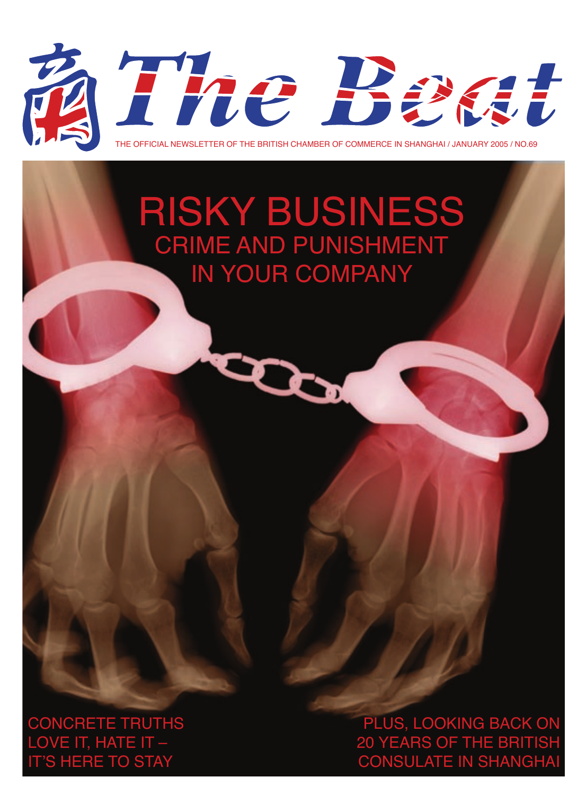

## RISKY BUSINESS CRIME AND PUNISHMENT IN YOUR COMPANY

CONCRETE TRUTHS LOVE IT, HATE IT -S HERE TO STAY

PLUS, LOOKING BACK ON 20 YEARS OF THE BRITISH CONSULATE IN SHANGH.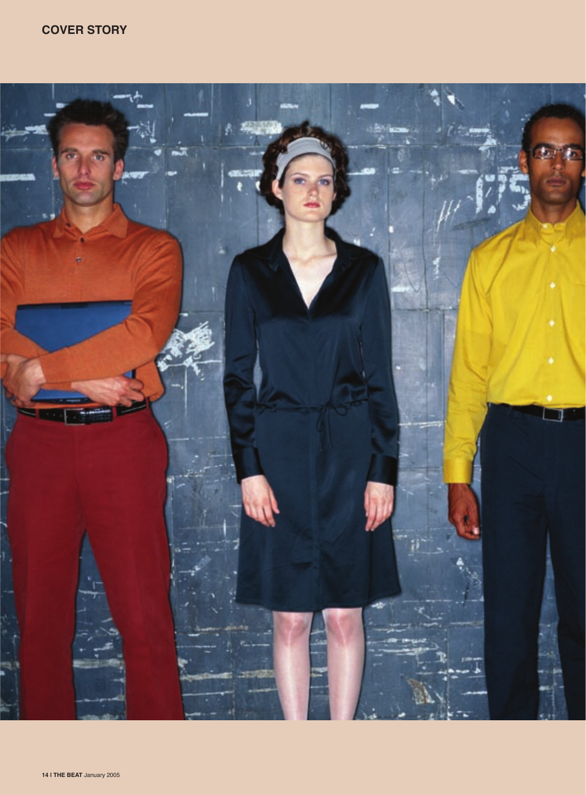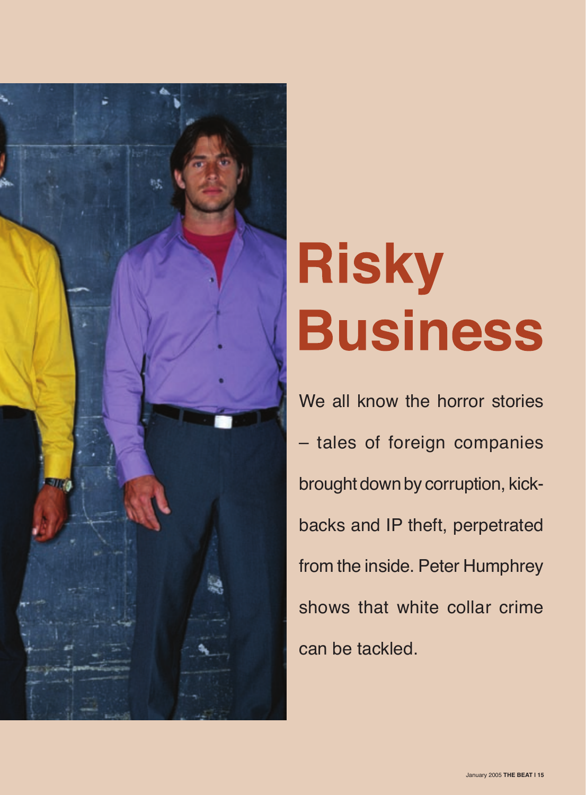

# **Risky Business**

We all know the horror stories – tales of foreign companies brought down by corruption, kickbacks and IP theft, perpetrated from the inside. Peter Humphrey shows that white collar crime can be tackled.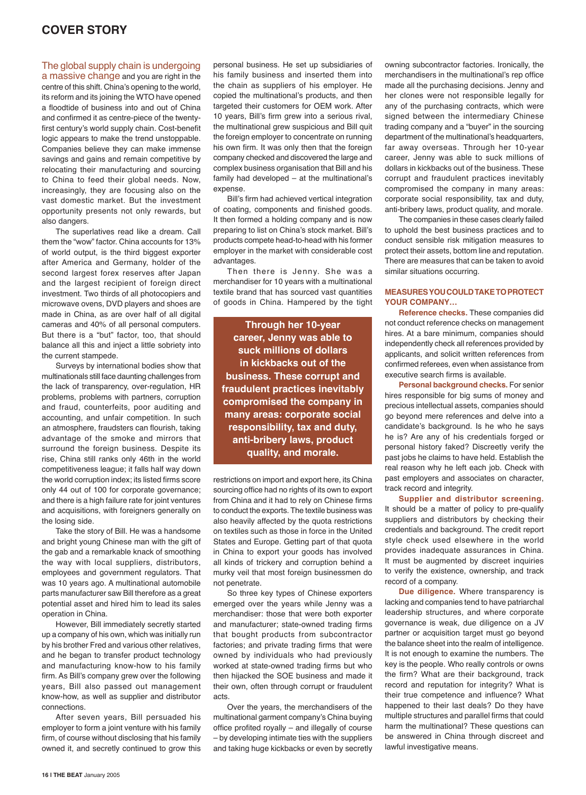### **COVER STORY**

#### The global supply chain is undergoing

a massive change and you are right in the centre of this shift. China's opening to the world, its reform and its joining the WTO have opened a floodtide of business into and out of China and confirmed it as centre-piece of the twentyfirst century's world supply chain. Cost-benefit logic appears to make the trend unstoppable. Companies believe they can make immense savings and gains and remain competitive by relocating their manufacturing and sourcing to China to feed their global needs. Now, increasingly, they are focusing also on the vast domestic market. But the investment opportunity presents not only rewards, but also dangers.

The superlatives read like a dream. Call them the "wow" factor. China accounts for 13% of world output, is the third biggest exporter after America and Germany, holder of the second largest forex reserves after Japan and the largest recipient of foreign direct investment. Two thirds of all photocopiers and microwave ovens, DVD players and shoes are made in China, as are over half of all digital cameras and 40% of all personal computers. But there is a "but" factor, too, that should balance all this and inject a little sobriety into the current stampede.

Surveys by international bodies show that multinationals still face daunting challenges from the lack of transparency, over-regulation, HR problems, problems with partners, corruption and fraud, counterfeits, poor auditing and accounting, and unfair competition. In such an atmosphere, fraudsters can flourish, taking advantage of the smoke and mirrors that surround the foreign business. Despite its rise, China still ranks only 46th in the world competitiveness league; it falls half way down the world corruption index; its listed firms score only 44 out of 100 for corporate governance; and there is a high failure rate for joint ventures and acquisitions, with foreigners generally on the losing side.

Take the story of Bill. He was a handsome and bright young Chinese man with the gift of the gab and a remarkable knack of smoothing the way with local suppliers, distributors, employees and government regulators. That was 10 years ago. A multinational automobile parts manufacturer saw Bill therefore as a great potential asset and hired him to lead its sales operation in China.

However, Bill immediately secretly started up a company of his own, which was initially run by his brother Fred and various other relatives, and he began to transfer product technology and manufacturing know-how to his family firm. As Bill's company grew over the following years, Bill also passed out management know-how, as well as supplier and distributor connections.

After seven years, Bill persuaded his employer to form a joint venture with his family firm, of course without disclosing that his family owned it, and secretly continued to grow this

personal business. He set up subsidiaries of his family business and inserted them into the chain as suppliers of his employer. He copied the multinational's products, and then targeted their customers for OEM work. After 10 years, Bill's firm grew into a serious rival, the multinational grew suspicious and Bill quit the foreign employer to concentrate on running his own firm. It was only then that the foreign company checked and discovered the large and complex business organisation that Bill and his family had developed – at the multinational's expense.

Bill's firm had achieved vertical integration of coating, components and finished goods. It then formed a holding company and is now preparing to list on China's stock market. Bill's products compete head-to-head with his former employer in the market with considerable cost advantages.

Then there is Jenny. She was a merchandiser for 10 years with a multinational textile brand that has sourced vast quantities of goods in China. Hampered by the tight

**Through her 10-year career, Jenny was able to suck millions of dollars in kickbacks out of the business. These corrupt and fraudulent practices inevitably compromised the company in many areas: corporate social responsibility, tax and duty, anti-bribery laws, product quality, and morale.**

restrictions on import and export here, its China sourcing office had no rights of its own to export from China and it had to rely on Chinese firms to conduct the exports. The textile business was also heavily affected by the quota restrictions on textiles such as those in force in the United States and Europe. Getting part of that quota in China to export your goods has involved all kinds of trickery and corruption behind a murky veil that most foreign businessmen do not penetrate.

So three key types of Chinese exporters emerged over the years while Jenny was a merchandiser: those that were both exporter and manufacturer; state-owned trading firms that bought products from subcontractor factories; and private trading firms that were owned by individuals who had previously worked at state-owned trading firms but who then hijacked the SOE business and made it their own, often through corrupt or fraudulent acts.

Over the years, the merchandisers of the multinational garment company's China buying office profited royally – and illegally of course – by developing intimate ties with the suppliers and taking huge kickbacks or even by secretly owning subcontractor factories. Ironically, the merchandisers in the multinational's rep office made all the purchasing decisions. Jenny and her clones were not responsible legally for any of the purchasing contracts, which were signed between the intermediary Chinese trading company and a "buyer" in the sourcing department of the multinational's headquarters, far away overseas. Through her 10-year career, Jenny was able to suck millions of dollars in kickbacks out of the business. These corrupt and fraudulent practices inevitably compromised the company in many areas: corporate social responsibility, tax and duty, anti-bribery laws, product quality, and morale.

The companies in these cases clearly failed to uphold the best business practices and to conduct sensible risk mitigation measures to protect their assets, bottom line and reputation. There are measures that can be taken to avoid similar situations occurring.

#### **MEASURES YOU COULD TAKE TO PROTECT YOUR COMPANY…**

**Reference checks.** These companies did not conduct reference checks on management hires. At a bare minimum, companies should independently check all references provided by applicants, and solicit written references from confirmed referees, even when assistance from executive search firms is available.

**Personal background checks.** For senior hires responsible for big sums of money and precious intellectual assets, companies should go beyond mere references and delve into a candidate's background. Is he who he says he is? Are any of his credentials forged or personal history faked? Discreetly verify the past jobs he claims to have held. Establish the real reason why he left each job. Check with past employers and associates on character, track record and integrity.

**Supplier and distributor screening.** It should be a matter of policy to pre-qualify suppliers and distributors by checking their credentials and background. The credit report style check used elsewhere in the world provides inadequate assurances in China. It must be augmented by discreet inquiries to verify the existence, ownership, and track record of a company.

**Due diligence.** Where transparency is lacking and companies tend to have patriarchal leadership structures, and where corporate governance is weak, due diligence on a JV partner or acquisition target must go beyond the balance sheet into the realm of intelligence. It is not enough to examine the numbers. The key is the people. Who really controls or owns the firm? What are their background, track record and reputation for integrity? What is their true competence and influence? What happened to their last deals? Do they have multiple structures and parallel firms that could harm the multinational? These questions can be answered in China through discreet and lawful investigative means.